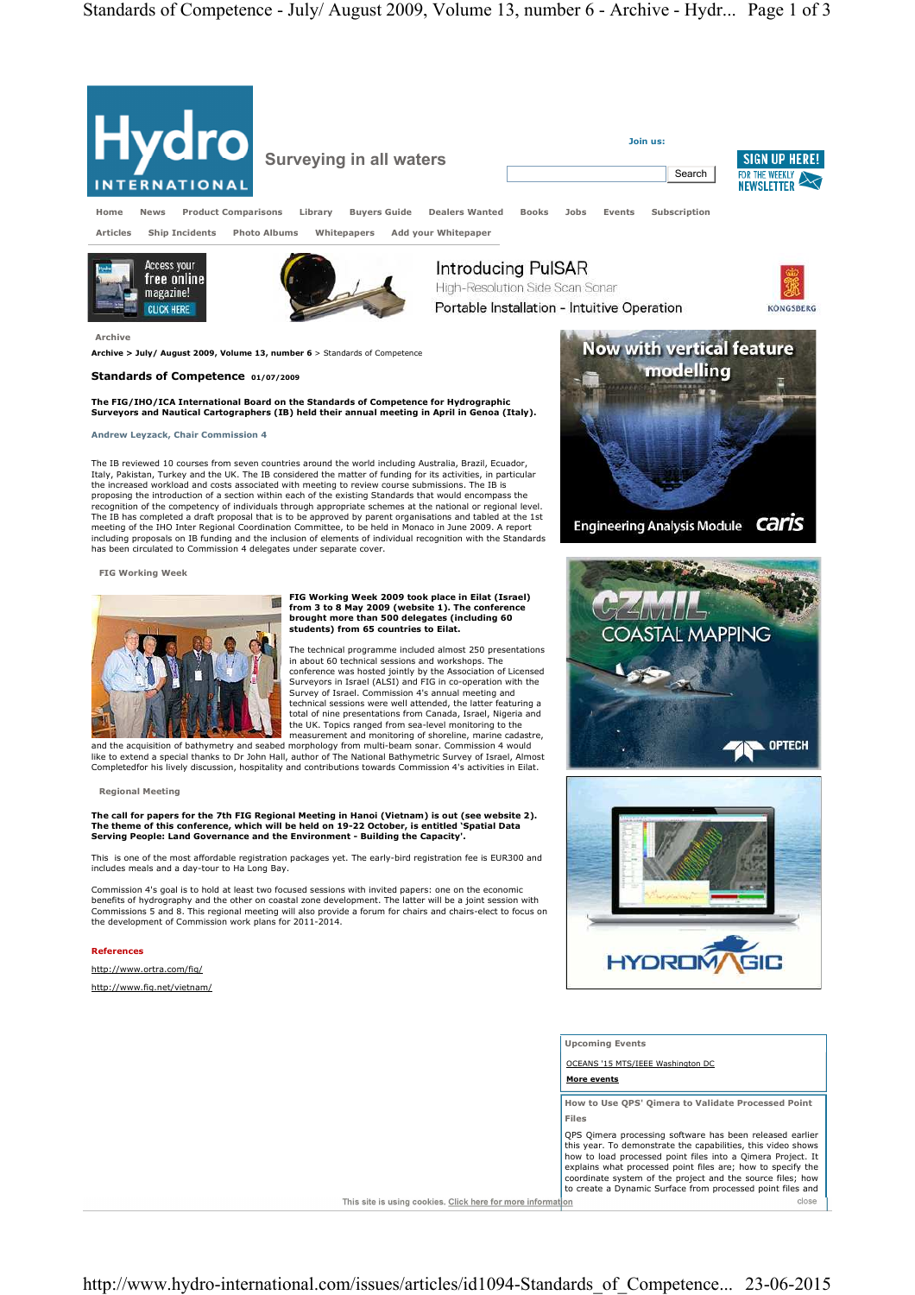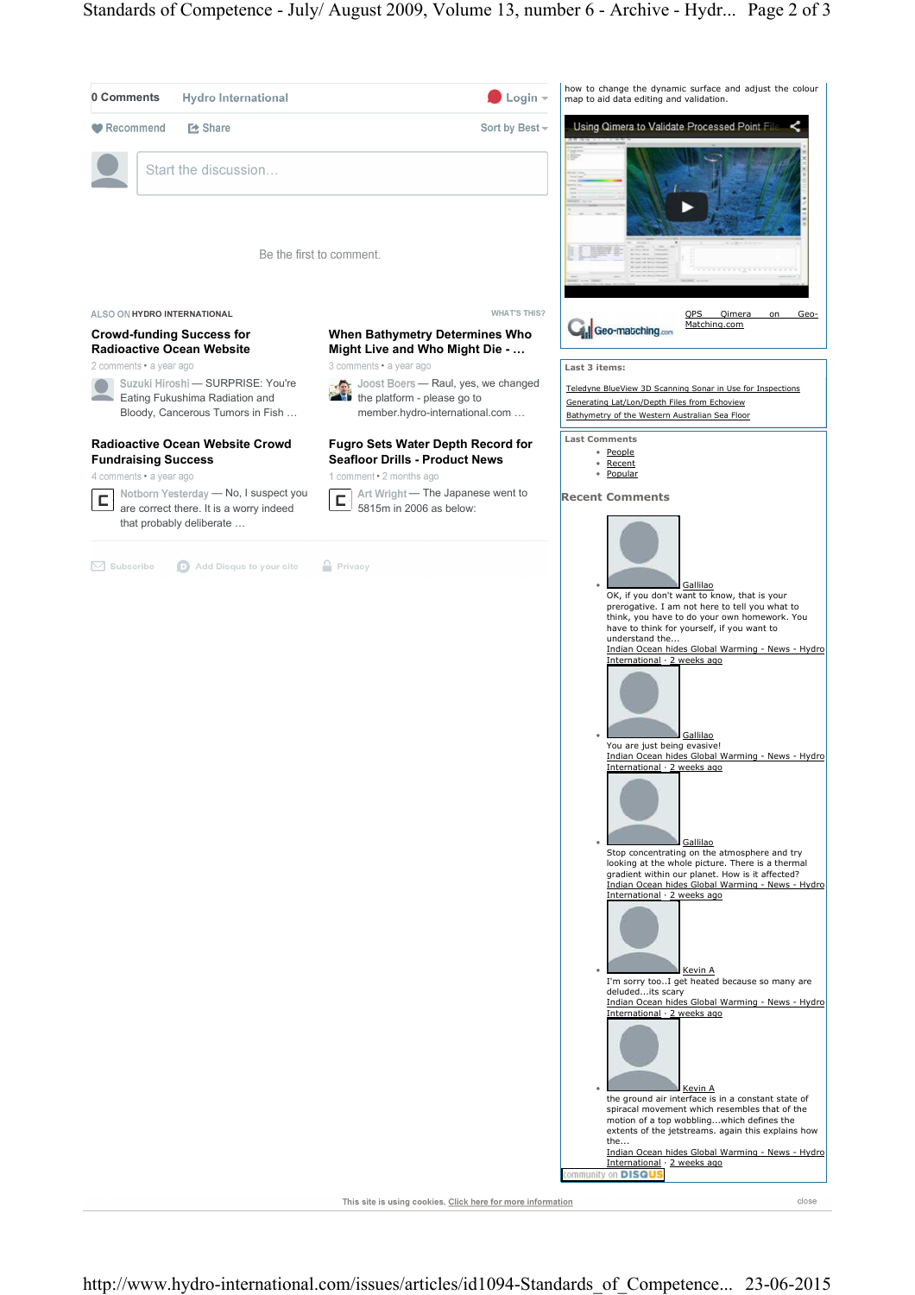